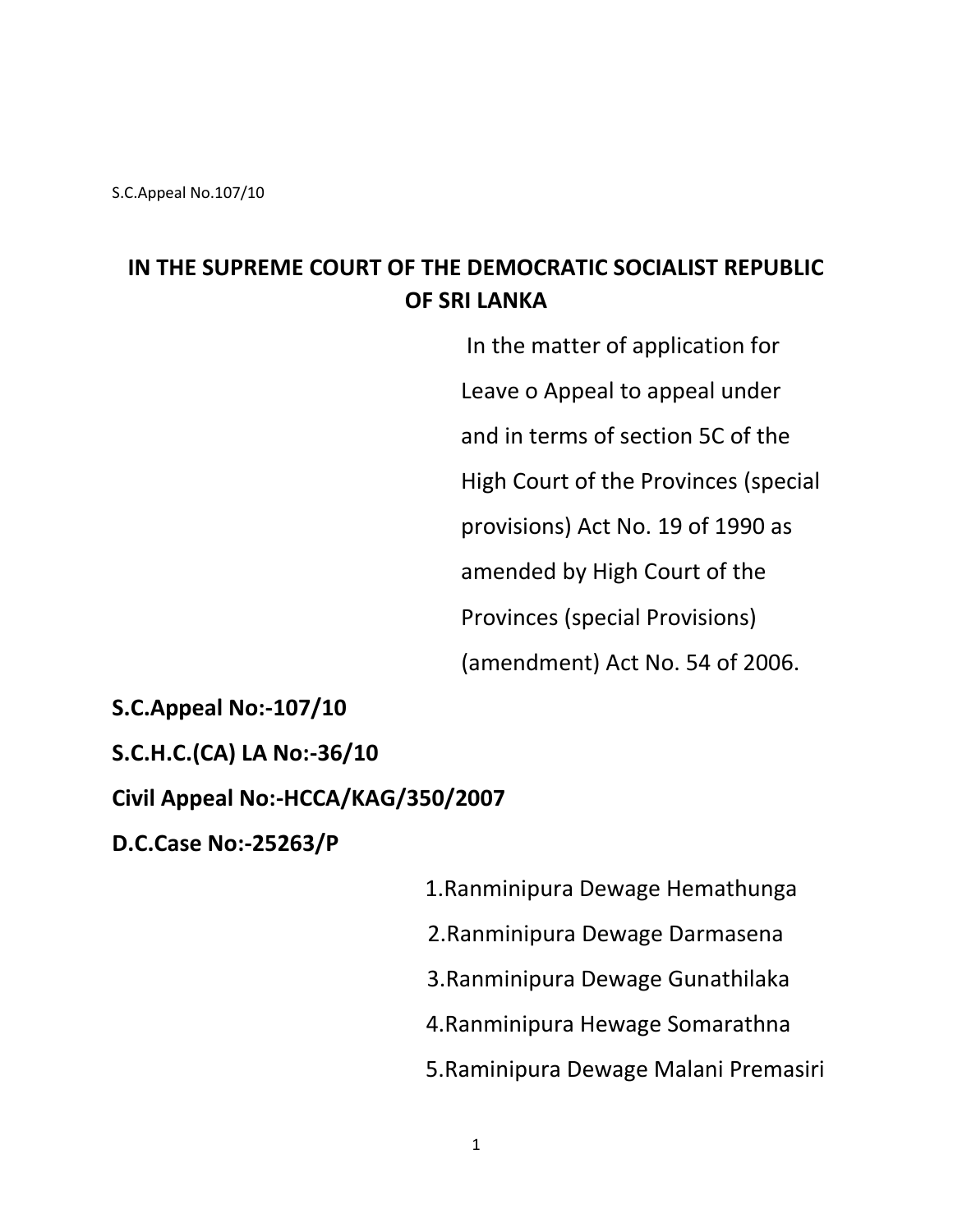S.C.Appeal No.107/10

# **IN THE SUPREME COURT OF THE DEMOCRATIC SOCIALIST REPUBLIC OF SRI LANKA**

 In the matter of application for Leave o Appeal to appeal under and in terms of section 5C of the High Court of the Provinces (special provisions) Act No. 19 of 1990 as amended by High Court of the Provinces (special Provisions) (amendment) Act No. 54 of 2006.

**S.C.Appeal No:-107/10**

**S.C.H.C.(CA) LA No:-36/10**

**Civil Appeal No:-HCCA/KAG/350/2007**

**D.C.Case No:-25263/P**

 1.Ranminipura Dewage Hemathunga 2.Ranminipura Dewage Darmasena 3.Ranminipura Dewage Gunathilaka 4.Ranminipura Hewage Somarathna 5.Raminipura Dewage Malani Premasiri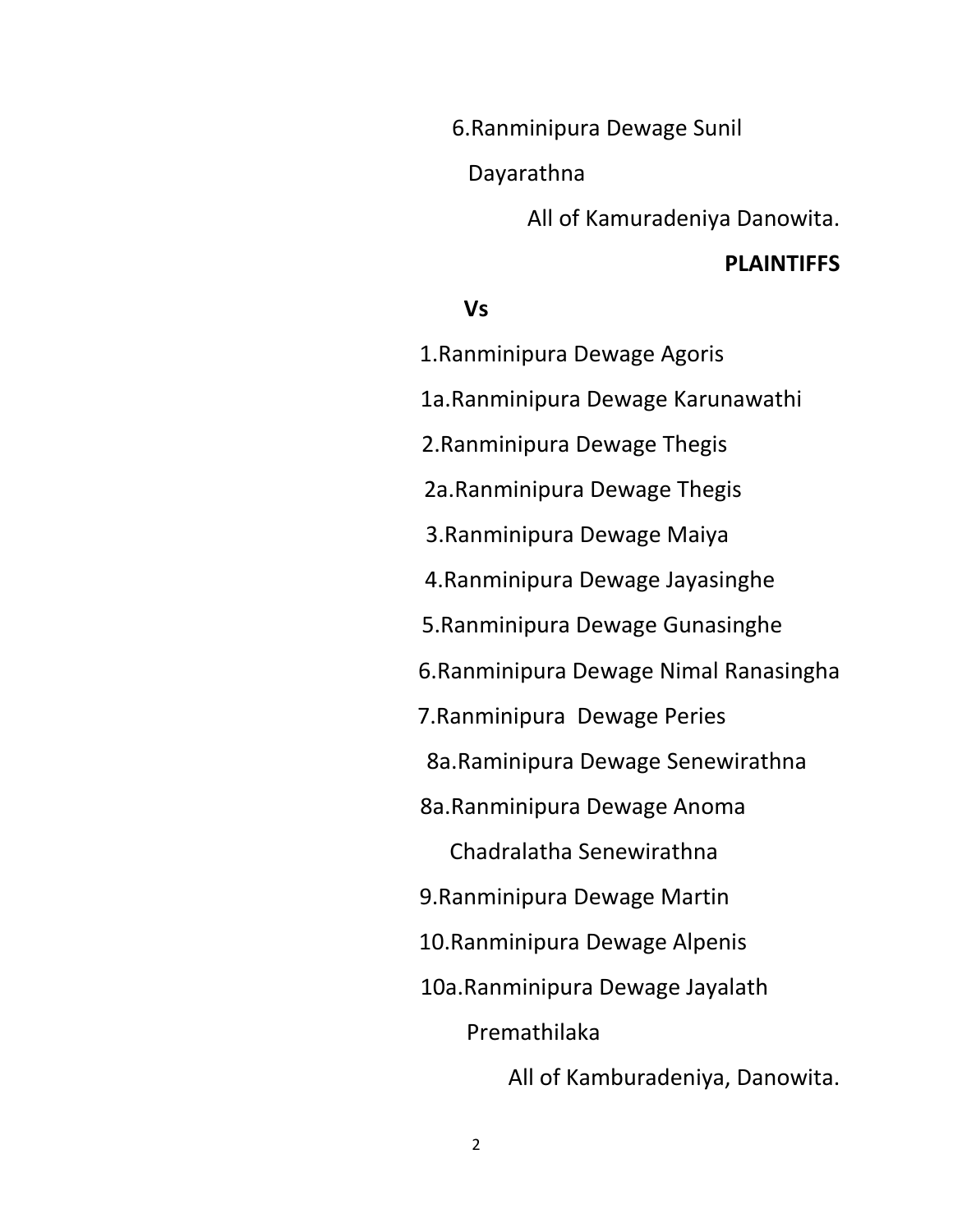6.Ranminipura Dewage Sunil

Dayarathna

All of Kamuradeniya Danowita.

#### **PLAINTIFFS**

#### **Vs**

 1.Ranminipura Dewage Agoris 1a.Ranminipura Dewage Karunawathi 2.Ranminipura Dewage Thegis 2a.Ranminipura Dewage Thegis 3.Ranminipura Dewage Maiya 4.Ranminipura Dewage Jayasinghe 5.Ranminipura Dewage Gunasinghe 6.Ranminipura Dewage Nimal Ranasingha 7.Ranminipura Dewage Peries 8a.Raminipura Dewage Senewirathna 8a.Ranminipura Dewage Anoma Chadralatha Senewirathna 9.Ranminipura Dewage Martin 10.Ranminipura Dewage Alpenis 10a.Ranminipura Dewage Jayalath Premathilaka All of Kamburadeniya, Danowita.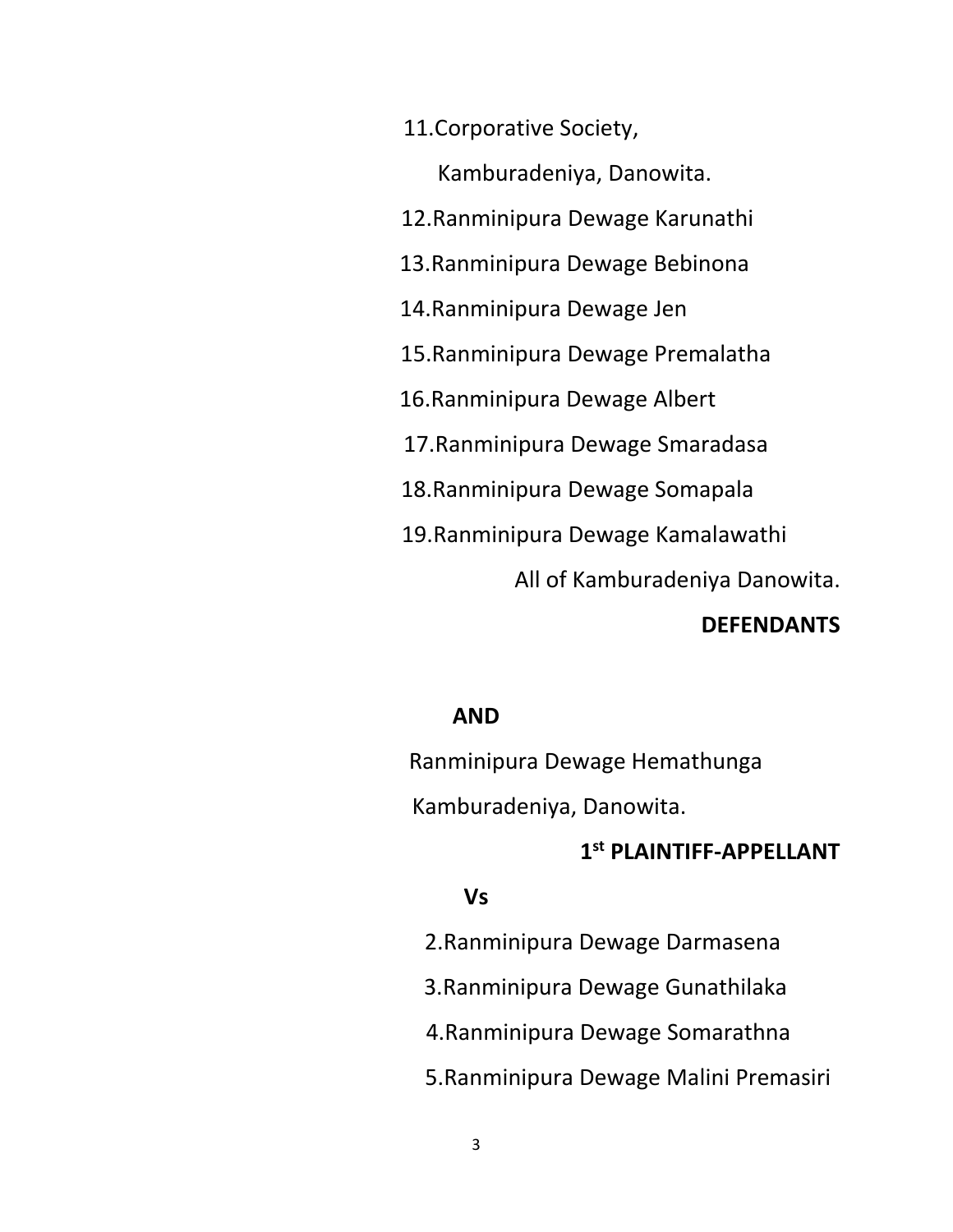11.Corporative Society,

 Kamburadeniya, Danowita. 12.Ranminipura Dewage Karunathi 13.Ranminipura Dewage Bebinona 14.Ranminipura Dewage Jen 15.Ranminipura Dewage Premalatha 16.Ranminipura Dewage Albert 17.Ranminipura Dewage Smaradasa 18.Ranminipura Dewage Somapala 19.Ranminipura Dewage Kamalawathi All of Kamburadeniya Danowita.

#### **DEFENDANTS**

#### **AND**

 Ranminipura Dewage Hemathunga Kamburadeniya, Danowita.

# **1 st PLAINTIFF-APPELLANT**

#### **Vs**

2.Ranminipura Dewage Darmasena

3.Ranminipura Dewage Gunathilaka

4.Ranminipura Dewage Somarathna

5.Ranminipura Dewage Malini Premasiri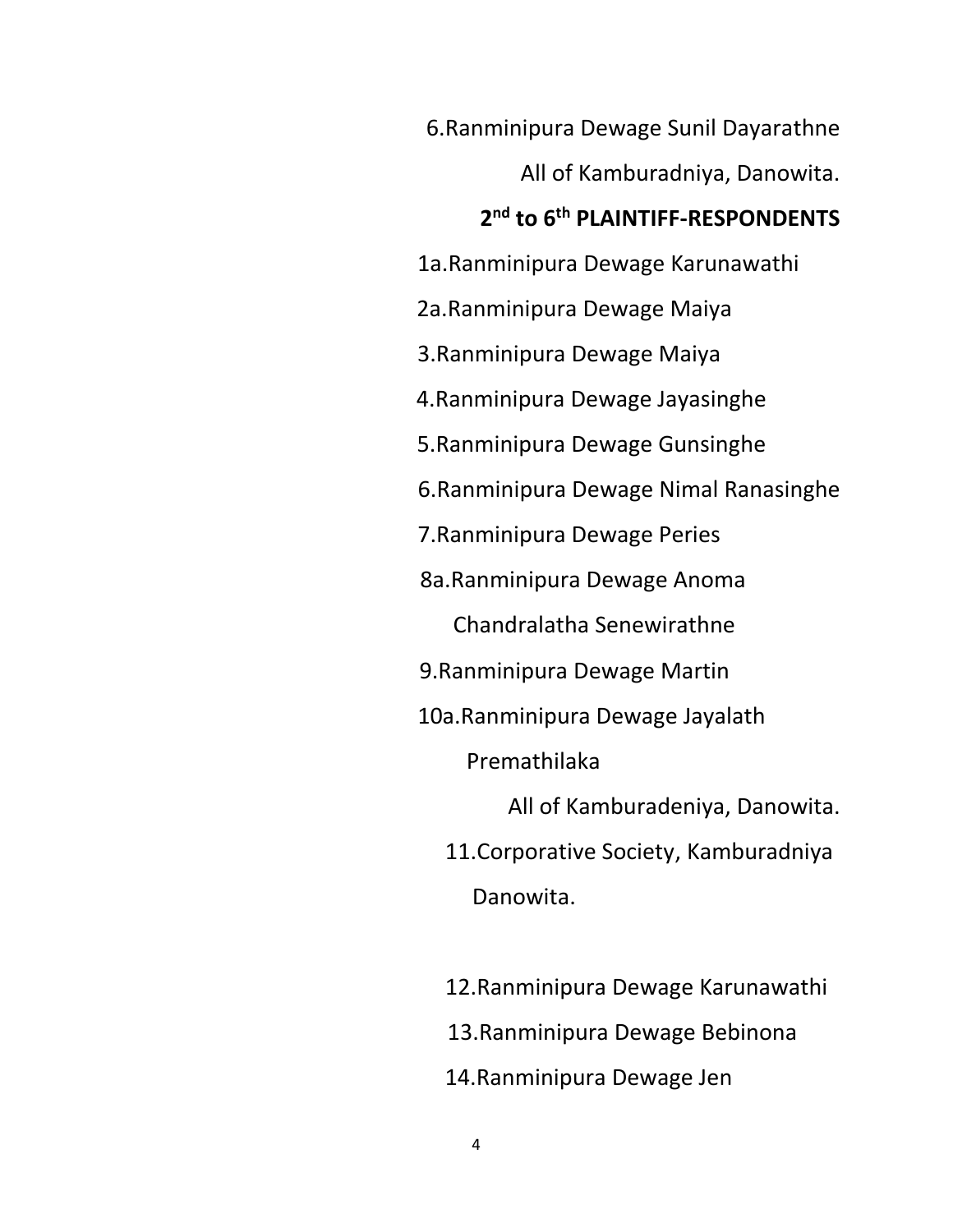6.Ranminipura Dewage Sunil Dayarathne All of Kamburadniya, Danowita. **2 nd to 6th PLAINTIFF-RESPONDENTS** 1a.Ranminipura Dewage Karunawathi 2a.Ranminipura Dewage Maiya 3.Ranminipura Dewage Maiya 4.Ranminipura Dewage Jayasinghe 5.Ranminipura Dewage Gunsinghe 6.Ranminipura Dewage Nimal Ranasinghe 7.Ranminipura Dewage Peries 8a.Ranminipura Dewage Anoma Chandralatha Senewirathne 9.Ranminipura Dewage Martin 10a.Ranminipura Dewage Jayalath Premathilaka All of Kamburadeniya, Danowita. 11.Corporative Society, Kamburadniya Danowita.

> 12.Ranminipura Dewage Karunawathi 13.Ranminipura Dewage Bebinona 14.Ranminipura Dewage Jen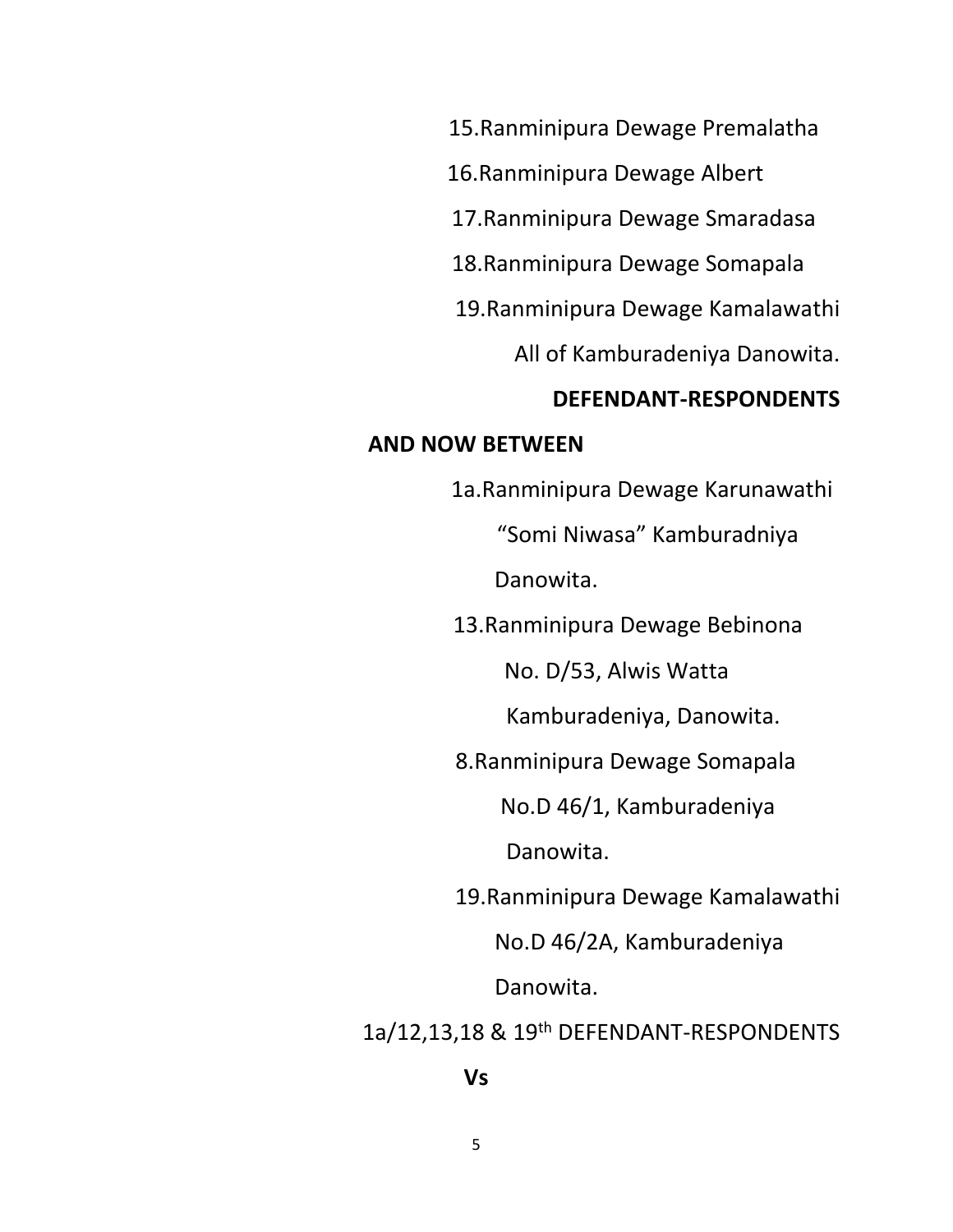15.Ranminipura Dewage Premalatha

16.Ranminipura Dewage Albert

17.Ranminipura Dewage Smaradasa

18.Ranminipura Dewage Somapala

19.Ranminipura Dewage Kamalawathi

All of Kamburadeniya Danowita.

#### **DEFENDANT-RESPONDENTS**

#### **AND NOW BETWEEN**

 1a.Ranminipura Dewage Karunawathi "Somi Niwasa" Kamburadniya Danowita. 13.Ranminipura Dewage Bebinona No. D/53, Alwis Watta Kamburadeniya, Danowita. 8.Ranminipura Dewage Somapala No.D 46/1, Kamburadeniya Danowita. 19.Ranminipura Dewage Kamalawathi No.D 46/2A, Kamburadeniya Danowita. 1a/12,13,18 & 19th DEFENDANT-RESPONDENTS

#### **Vs**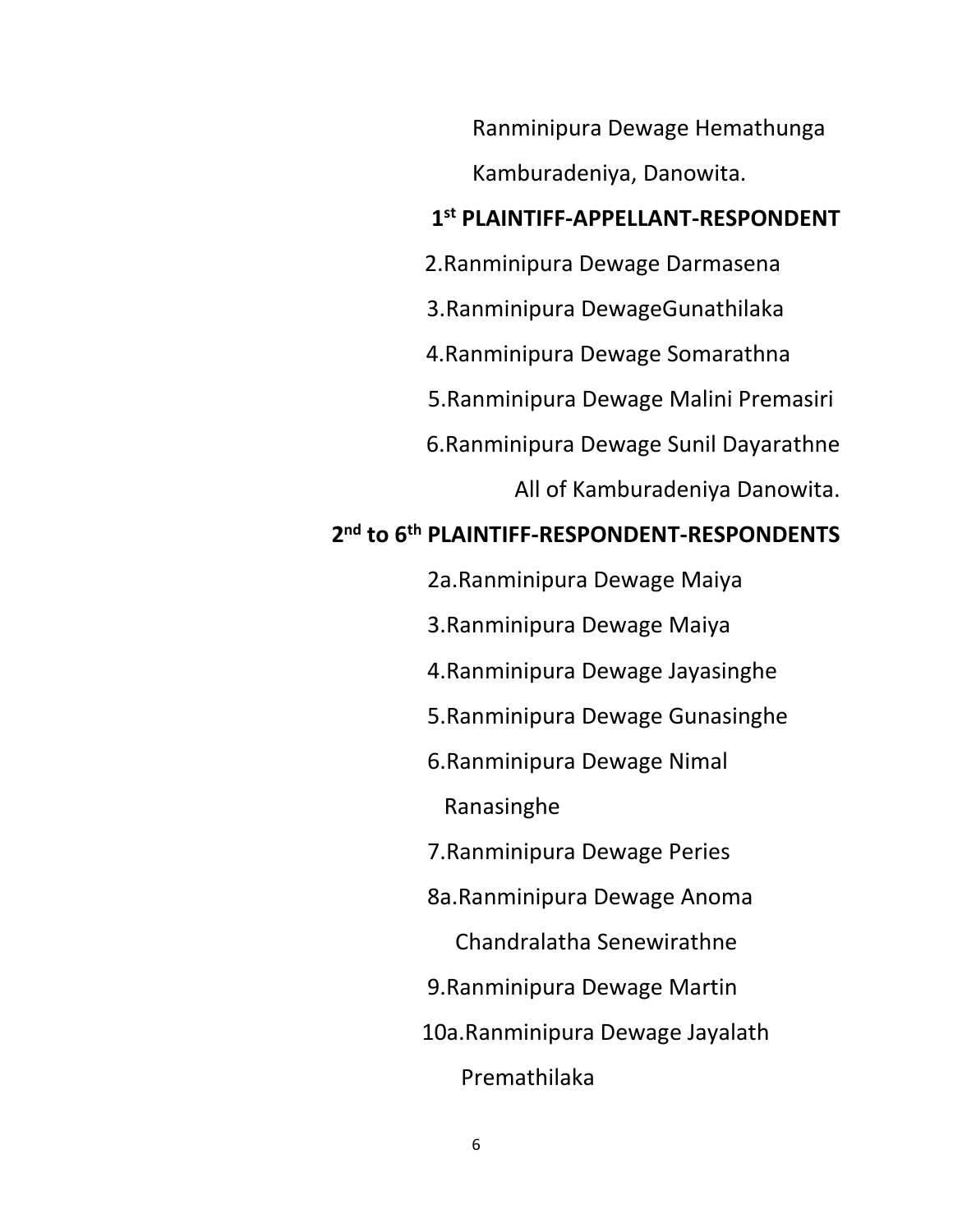Ranminipura Dewage Hemathunga

Kamburadeniya, Danowita.

# **1 st PLAINTIFF-APPELLANT-RESPONDENT**

- 2.Ranminipura Dewage Darmasena
- 3.Ranminipura DewageGunathilaka
- 4.Ranminipura Dewage Somarathna
- 5.Ranminipura Dewage Malini Premasiri
- 6.Ranminipura Dewage Sunil Dayarathne
	- All of Kamburadeniya Danowita.

# **2 nd to 6th PLAINTIFF-RESPONDENT-RESPONDENTS**

- 2a.Ranminipura Dewage Maiya
- 3.Ranminipura Dewage Maiya
- 4.Ranminipura Dewage Jayasinghe
- 5.Ranminipura Dewage Gunasinghe
- 6.Ranminipura Dewage Nimal
	- Ranasinghe
- 7.Ranminipura Dewage Peries
- 8a.Ranminipura Dewage Anoma
	- Chandralatha Senewirathne
- 9.Ranminipura Dewage Martin
- 10a.Ranminipura Dewage Jayalath
	- Premathilaka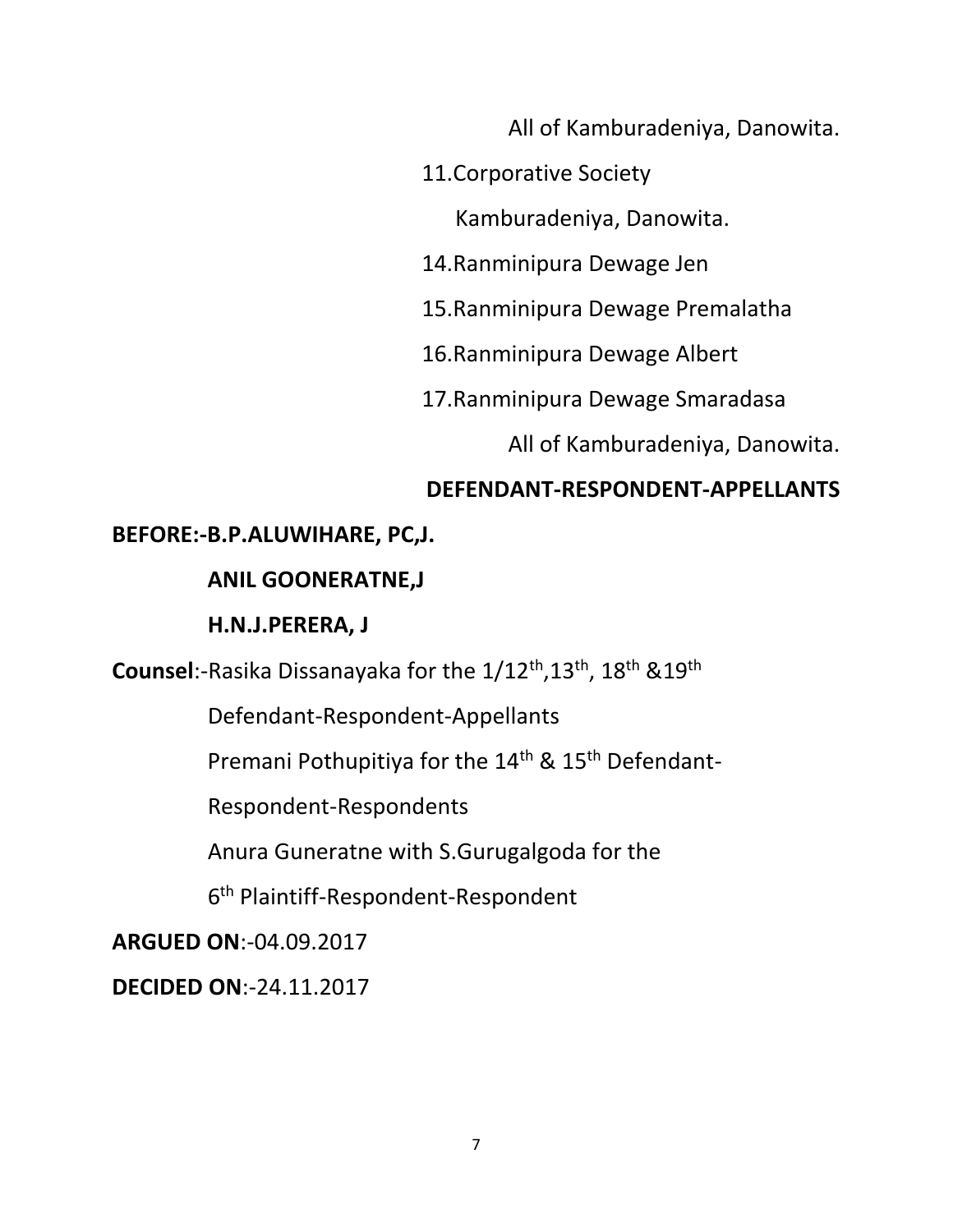All of Kamburadeniya, Danowita.

11.Corporative Society

Kamburadeniya, Danowita.

14.Ranminipura Dewage Jen

15.Ranminipura Dewage Premalatha

16.Ranminipura Dewage Albert

17.Ranminipura Dewage Smaradasa

All of Kamburadeniya, Danowita.

# **DEFENDANT-RESPONDENT-APPELLANTS**

### **BEFORE:-B.P.ALUWIHARE, PC,J.**

### **ANIL GOONERATNE,J**

### **H.N.J.PERERA, J**

**Counsel**:-Rasika Dissanayaka for the 1/12th,13th, 18th &19th

Defendant-Respondent-Appellants

Premani Pothupitiya for the 14<sup>th</sup> & 15<sup>th</sup> Defendant-

Respondent-Respondents

Anura Guneratne with S.Gurugalgoda for the

6 th Plaintiff-Respondent-Respondent

**ARGUED ON**:-04.09.2017

**DECIDED ON**:-24.11.2017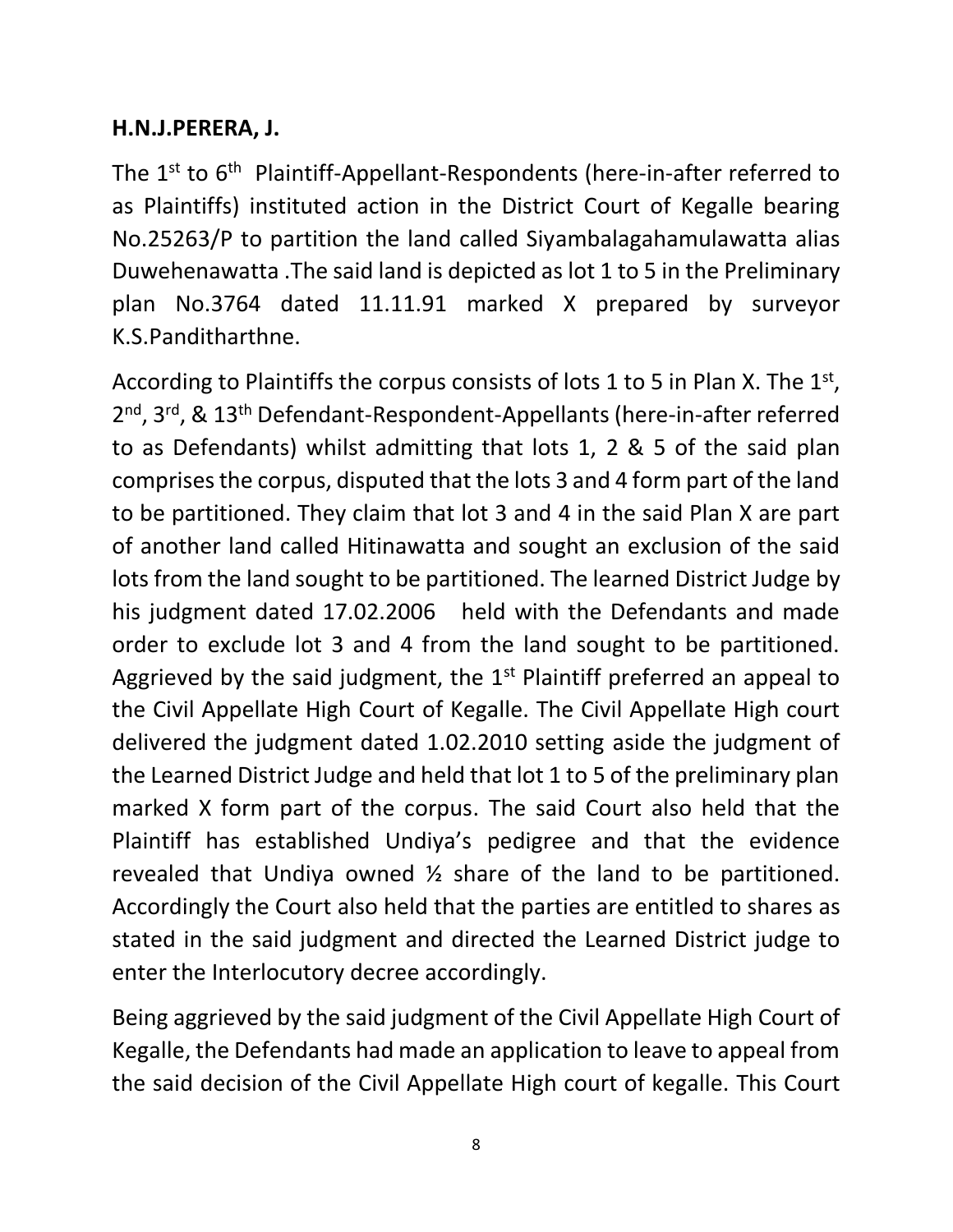# **H.N.J.PERERA, J.**

The 1<sup>st</sup> to 6<sup>th</sup> Plaintiff-Appellant-Respondents (here-in-after referred to as Plaintiffs) instituted action in the District Court of Kegalle bearing No.25263/P to partition the land called Siyambalagahamulawatta alias Duwehenawatta .The said land is depicted as lot 1 to 5 in the Preliminary plan No.3764 dated 11.11.91 marked X prepared by surveyor K.S.Panditharthne.

According to Plaintiffs the corpus consists of lots 1 to 5 in Plan X. The  $1<sup>st</sup>$ , 2<sup>nd</sup>, 3<sup>rd</sup>, & 13<sup>th</sup> Defendant-Respondent-Appellants (here-in-after referred to as Defendants) whilst admitting that lots 1, 2 & 5 of the said plan comprises the corpus, disputed that the lots 3 and 4 form part of the land to be partitioned. They claim that lot 3 and 4 in the said Plan X are part of another land called Hitinawatta and sought an exclusion of the said lots from the land sought to be partitioned. The learned District Judge by his judgment dated 17.02.2006 held with the Defendants and made order to exclude lot 3 and 4 from the land sought to be partitioned. Aggrieved by the said judgment, the  $1<sup>st</sup>$  Plaintiff preferred an appeal to the Civil Appellate High Court of Kegalle. The Civil Appellate High court delivered the judgment dated 1.02.2010 setting aside the judgment of the Learned District Judge and held that lot 1 to 5 of the preliminary plan marked X form part of the corpus. The said Court also held that the Plaintiff has established Undiya's pedigree and that the evidence revealed that Undiya owned ½ share of the land to be partitioned. Accordingly the Court also held that the parties are entitled to shares as stated in the said judgment and directed the Learned District judge to enter the Interlocutory decree accordingly.

Being aggrieved by the said judgment of the Civil Appellate High Court of Kegalle, the Defendants had made an application to leave to appeal from the said decision of the Civil Appellate High court of kegalle. This Court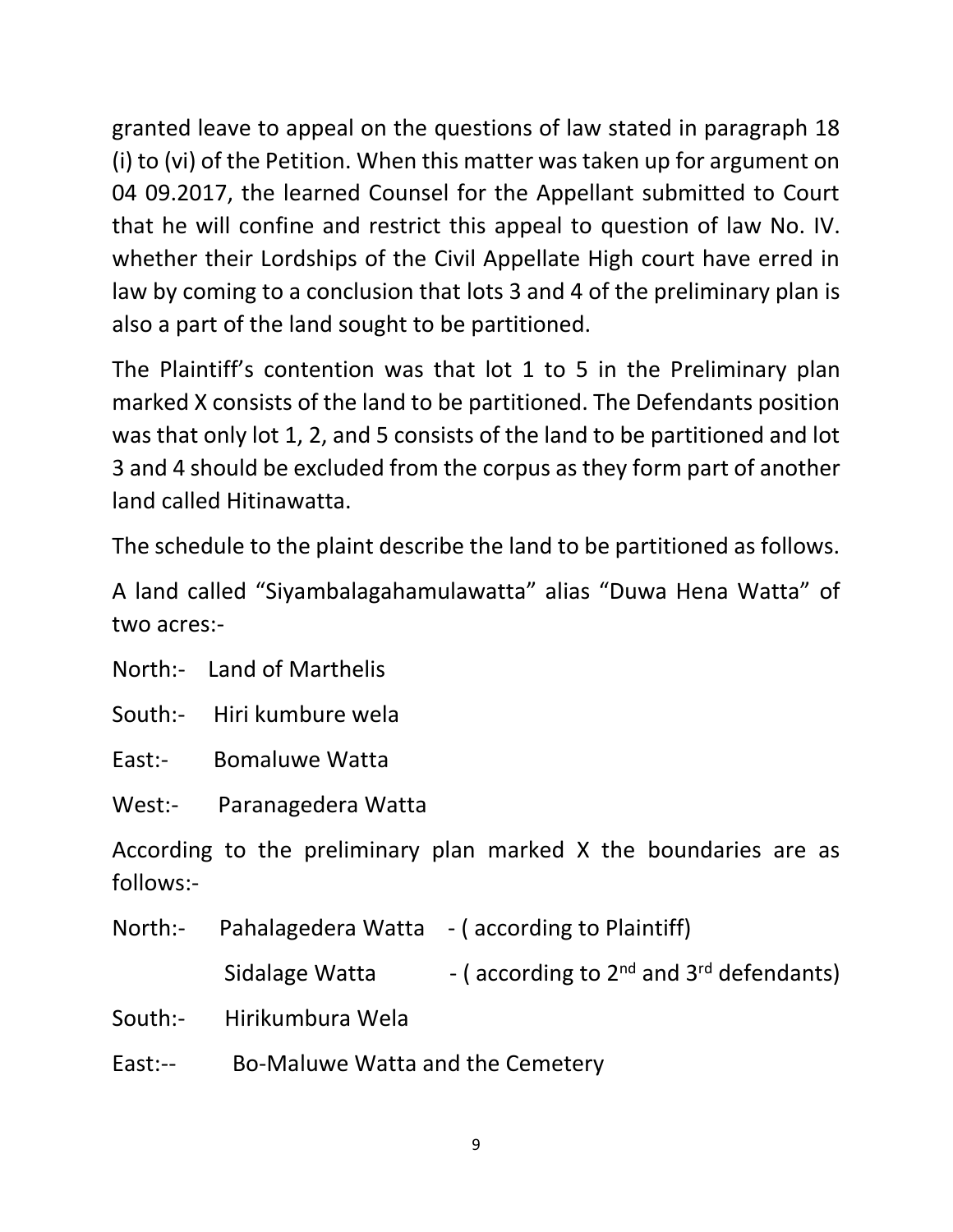granted leave to appeal on the questions of law stated in paragraph 18 (i) to (vi) of the Petition. When this matter was taken up for argument on 04 09.2017, the learned Counsel for the Appellant submitted to Court that he will confine and restrict this appeal to question of law No. IV. whether their Lordships of the Civil Appellate High court have erred in law by coming to a conclusion that lots 3 and 4 of the preliminary plan is also a part of the land sought to be partitioned.

The Plaintiff's contention was that lot 1 to 5 in the Preliminary plan marked X consists of the land to be partitioned. The Defendants position was that only lot 1, 2, and 5 consists of the land to be partitioned and lot 3 and 4 should be excluded from the corpus as they form part of another land called Hitinawatta.

The schedule to the plaint describe the land to be partitioned as follows.

A land called "Siyambalagahamulawatta" alias "Duwa Hena Watta" of two acres:-

North:- Land of Marthelis

South:- Hiri kumbure wela

East:- Bomaluwe Watta

West:- Paranagedera Watta

According to the preliminary plan marked X the boundaries are as follows:-

| North:- Pahalagedera Watta - (according to Plaintiff) |                                                   |
|-------------------------------------------------------|---------------------------------------------------|
| Sidalage Watta                                        | - (according to $2^{nd}$ and $3^{rd}$ defendants) |
| South:- Hirikumbura Wela                              |                                                   |
|                                                       |                                                   |

East:-- Bo-Maluwe Watta and the Cemetery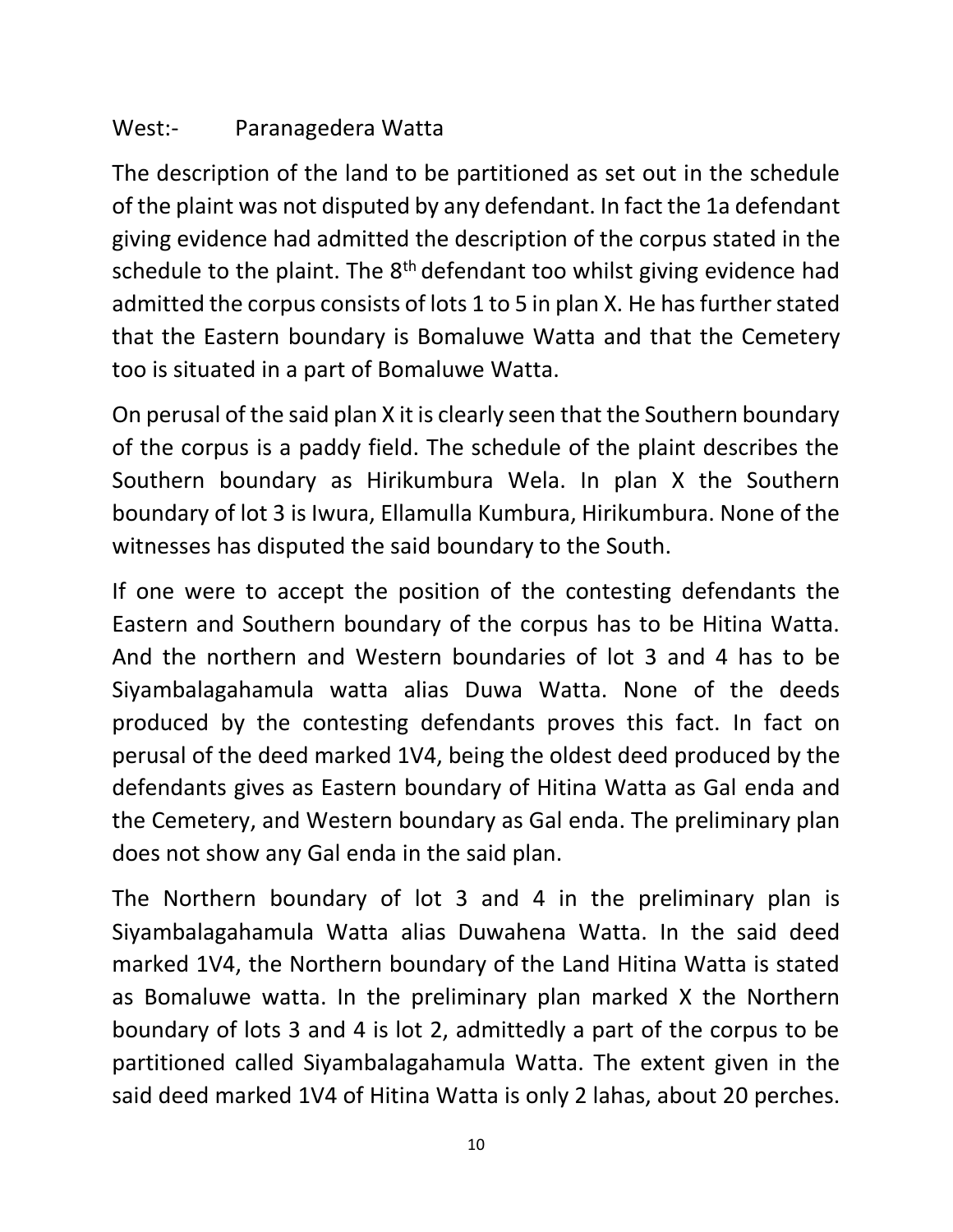# West:- Paranagedera Watta

The description of the land to be partitioned as set out in the schedule of the plaint was not disputed by any defendant. In fact the 1a defendant giving evidence had admitted the description of the corpus stated in the schedule to the plaint. The  $8<sup>th</sup>$  defendant too whilst giving evidence had admitted the corpus consists of lots 1 to 5 in plan X. He has further stated that the Eastern boundary is Bomaluwe Watta and that the Cemetery too is situated in a part of Bomaluwe Watta.

On perusal of the said plan X it is clearly seen that the Southern boundary of the corpus is a paddy field. The schedule of the plaint describes the Southern boundary as Hirikumbura Wela. In plan X the Southern boundary of lot 3 is Iwura, Ellamulla Kumbura, Hirikumbura. None of the witnesses has disputed the said boundary to the South.

If one were to accept the position of the contesting defendants the Eastern and Southern boundary of the corpus has to be Hitina Watta. And the northern and Western boundaries of lot 3 and 4 has to be Siyambalagahamula watta alias Duwa Watta. None of the deeds produced by the contesting defendants proves this fact. In fact on perusal of the deed marked 1V4, being the oldest deed produced by the defendants gives as Eastern boundary of Hitina Watta as Gal enda and the Cemetery, and Western boundary as Gal enda. The preliminary plan does not show any Gal enda in the said plan.

The Northern boundary of lot 3 and 4 in the preliminary plan is Siyambalagahamula Watta alias Duwahena Watta. In the said deed marked 1V4, the Northern boundary of the Land Hitina Watta is stated as Bomaluwe watta. In the preliminary plan marked X the Northern boundary of lots 3 and 4 is lot 2, admittedly a part of the corpus to be partitioned called Siyambalagahamula Watta. The extent given in the said deed marked 1V4 of Hitina Watta is only 2 lahas, about 20 perches.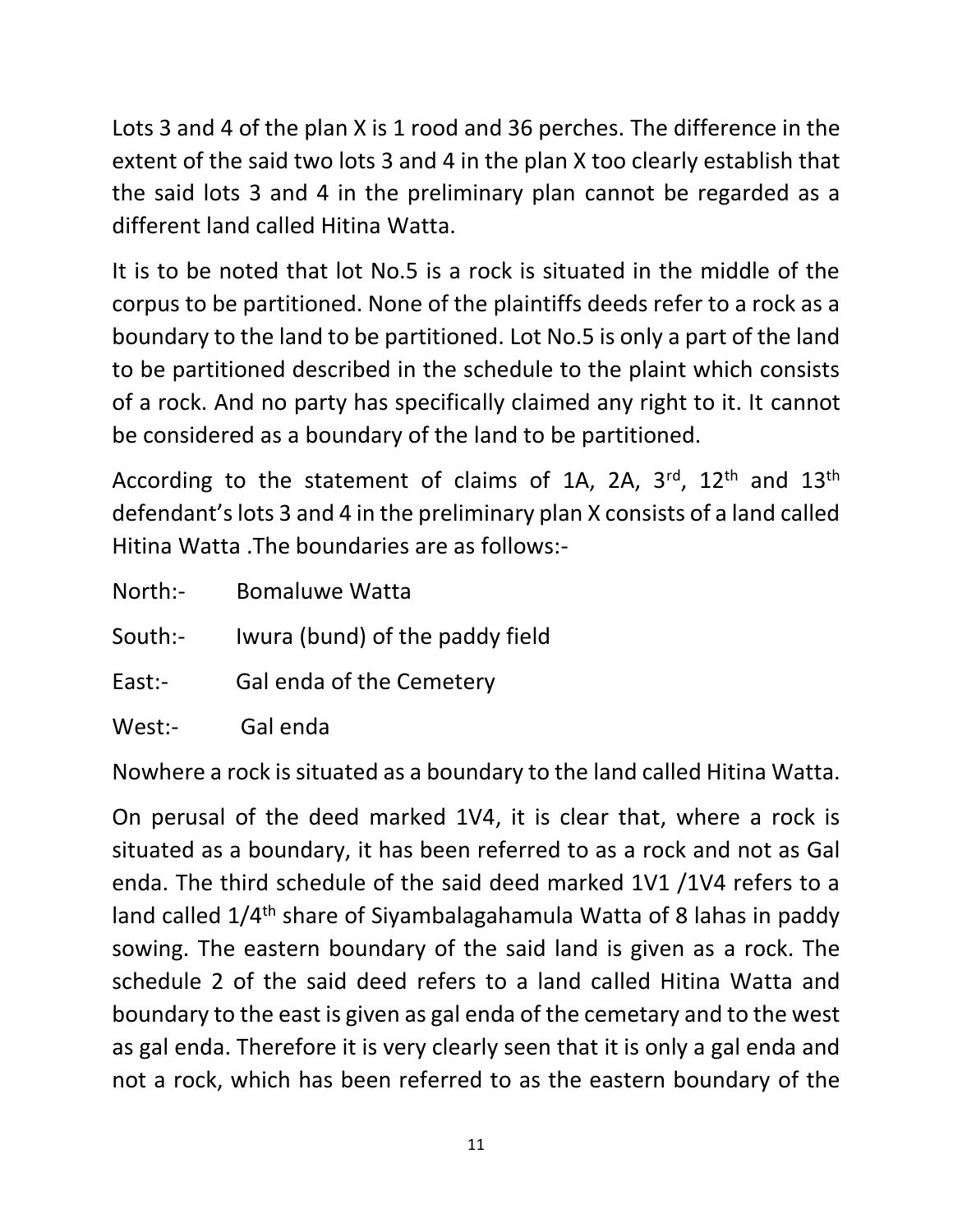Lots 3 and 4 of the plan X is 1 rood and 36 perches. The difference in the extent of the said two lots 3 and 4 in the plan X too clearly establish that the said lots 3 and 4 in the preliminary plan cannot be regarded as a different land called Hitina Watta.

It is to be noted that lot No.5 is a rock is situated in the middle of the corpus to be partitioned. None of the plaintiffs deeds refer to a rock as a boundary to the land to be partitioned. Lot No.5 is only a part of the land to be partitioned described in the schedule to the plaint which consists of a rock. And no party has specifically claimed any right to it. It cannot be considered as a boundary of the land to be partitioned.

According to the statement of claims of 1A, 2A, 3rd, 12<sup>th</sup> and 13<sup>th</sup> defendant's lots 3 and 4 in the preliminary plan X consists of a land called Hitina Watta .The boundaries are as follows:-

| North:- | <b>Bomaluwe Watta</b>           |
|---------|---------------------------------|
| South:- | Iwura (bund) of the paddy field |
| East:-  | Gal enda of the Cemetery        |
| West:-  | Gal enda                        |

Nowhere a rock is situated as a boundary to the land called Hitina Watta.

On perusal of the deed marked 1V4, it is clear that, where a rock is situated as a boundary, it has been referred to as a rock and not as Gal enda. The third schedule of the said deed marked 1V1 /1V4 refers to a land called 1/4th share of Siyambalagahamula Watta of 8 lahas in paddy sowing. The eastern boundary of the said land is given as a rock. The schedule 2 of the said deed refers to a land called Hitina Watta and boundary to the east is given as gal enda of the cemetary and to the west as gal enda. Therefore it is very clearly seen that it is only a gal enda and not a rock, which has been referred to as the eastern boundary of the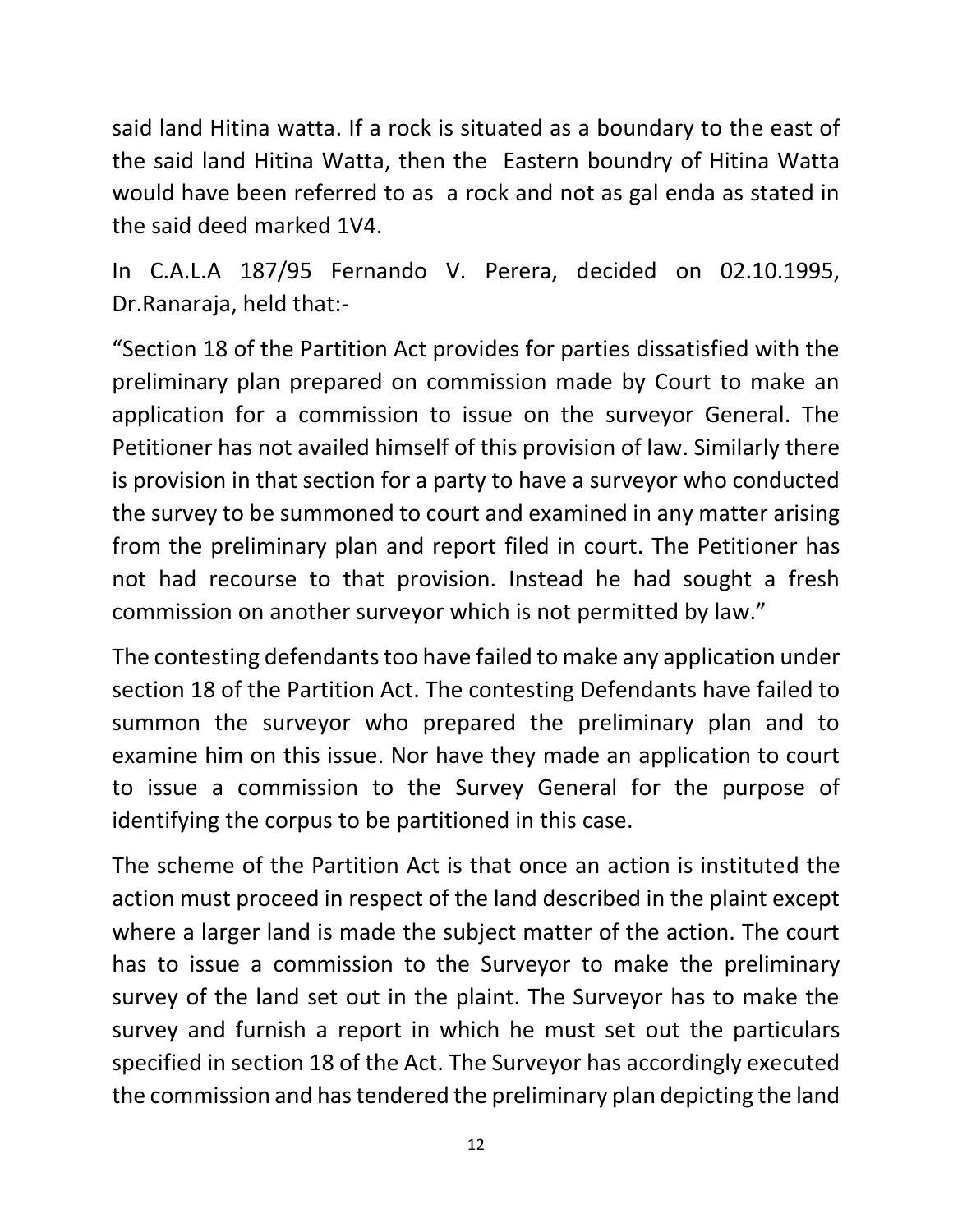said land Hitina watta. If a rock is situated as a boundary to the east of the said land Hitina Watta, then the Eastern boundry of Hitina Watta would have been referred to as a rock and not as gal enda as stated in the said deed marked 1V4.

In C.A.L.A 187/95 Fernando V. Perera, decided on 02.10.1995, Dr.Ranaraja, held that:-

"Section 18 of the Partition Act provides for parties dissatisfied with the preliminary plan prepared on commission made by Court to make an application for a commission to issue on the surveyor General. The Petitioner has not availed himself of this provision of law. Similarly there is provision in that section for a party to have a surveyor who conducted the survey to be summoned to court and examined in any matter arising from the preliminary plan and report filed in court. The Petitioner has not had recourse to that provision. Instead he had sought a fresh commission on another surveyor which is not permitted by law."

The contesting defendants too have failed to make any application under section 18 of the Partition Act. The contesting Defendants have failed to summon the surveyor who prepared the preliminary plan and to examine him on this issue. Nor have they made an application to court to issue a commission to the Survey General for the purpose of identifying the corpus to be partitioned in this case.

The scheme of the Partition Act is that once an action is instituted the action must proceed in respect of the land described in the plaint except where a larger land is made the subject matter of the action. The court has to issue a commission to the Surveyor to make the preliminary survey of the land set out in the plaint. The Surveyor has to make the survey and furnish a report in which he must set out the particulars specified in section 18 of the Act. The Surveyor has accordingly executed the commission and has tendered the preliminary plan depicting the land